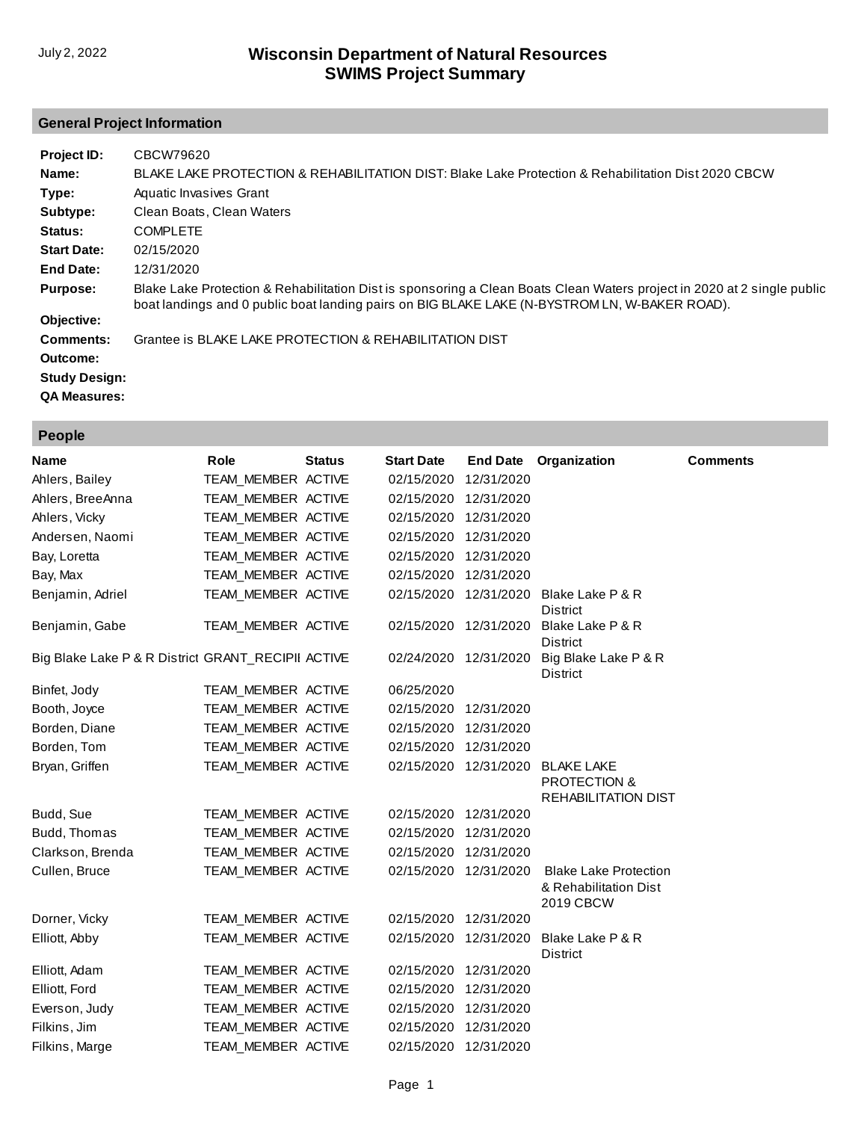# **General Project Information**

| Project ID:          | CBCW79620                                                                                                                                                                                                                |
|----------------------|--------------------------------------------------------------------------------------------------------------------------------------------------------------------------------------------------------------------------|
| Name:                | BLAKE LAKE PROTECTION & REHABILITATION DIST: Blake Lake Protection & Rehabilitation Dist 2020 CBCW                                                                                                                       |
| Type:                | Aquatic Invasives Grant                                                                                                                                                                                                  |
| Subtype:             | Clean Boats, Clean Waters                                                                                                                                                                                                |
| Status:              | <b>COMPLETE</b>                                                                                                                                                                                                          |
| <b>Start Date:</b>   | 02/15/2020                                                                                                                                                                                                               |
| End Date:            | 12/31/2020                                                                                                                                                                                                               |
| <b>Purpose:</b>      | Blake Lake Protection & Rehabilitation Dist is sponsoring a Clean Boats Clean Waters project in 2020 at 2 single public<br>boat landings and 0 public boat landing pairs on BIG BLAKE LAKE (N-BYSTROM LN, W-BAKER ROAD). |
| Objective:           |                                                                                                                                                                                                                          |
| Comments:            | Grantee is BLAKE LAKE PROTECTION & REHABILITATION DIST                                                                                                                                                                   |
| Outcome:             |                                                                                                                                                                                                                          |
| <b>Study Design:</b> |                                                                                                                                                                                                                          |
| <b>QA Measures:</b>  |                                                                                                                                                                                                                          |

|  | וחסי |  |
|--|------|--|
|  |      |  |

| Name                                               | Role               | <b>Status</b> | <b>Start Date</b> | <b>End Date</b> | Organization                                                              | <b>Comments</b> |
|----------------------------------------------------|--------------------|---------------|-------------------|-----------------|---------------------------------------------------------------------------|-----------------|
| Ahlers, Bailey                                     | TEAM_MEMBER ACTIVE |               | 02/15/2020        | 12/31/2020      |                                                                           |                 |
| Ahlers, BreeAnna                                   | TEAM MEMBER ACTIVE |               | 02/15/2020        | 12/31/2020      |                                                                           |                 |
| Ahlers, Vicky                                      | TEAM MEMBER ACTIVE |               | 02/15/2020        | 12/31/2020      |                                                                           |                 |
| Andersen, Naomi                                    | TEAM MEMBER ACTIVE |               | 02/15/2020        | 12/31/2020      |                                                                           |                 |
| Bay, Loretta                                       | TEAM MEMBER ACTIVE |               | 02/15/2020        | 12/31/2020      |                                                                           |                 |
| Bay, Max                                           | TEAM MEMBER ACTIVE |               | 02/15/2020        | 12/31/2020      |                                                                           |                 |
| Benjamin, Adriel                                   | TEAM MEMBER ACTIVE |               | 02/15/2020        | 12/31/2020      | Blake Lake P & R<br><b>District</b>                                       |                 |
| Benjamin, Gabe                                     | TEAM_MEMBER ACTIVE |               | 02/15/2020        | 12/31/2020      | Blake Lake P & R<br><b>District</b>                                       |                 |
| Big Blake Lake P & R District GRANT_RECIPII ACTIVE |                    |               | 02/24/2020        | 12/31/2020      | Big Blake Lake P & R<br>District                                          |                 |
| Binfet, Jody                                       | TEAM MEMBER ACTIVE |               | 06/25/2020        |                 |                                                                           |                 |
| Booth, Joyce                                       | TEAM MEMBER ACTIVE |               | 02/15/2020        | 12/31/2020      |                                                                           |                 |
| Borden, Diane                                      | TEAM MEMBER ACTIVE |               | 02/15/2020        | 12/31/2020      |                                                                           |                 |
| Borden, Tom                                        | TEAM_MEMBER ACTIVE |               | 02/15/2020        | 12/31/2020      |                                                                           |                 |
| Bryan, Griffen                                     | TEAM_MEMBER ACTIVE |               | 02/15/2020        | 12/31/2020      | <b>BLAKE LAKE</b><br><b>PROTECTION &amp;</b><br>REHABILITATION DIST       |                 |
| Budd, Sue                                          | TEAM MEMBER ACTIVE |               | 02/15/2020        | 12/31/2020      |                                                                           |                 |
| Budd, Thomas                                       | TEAM MEMBER ACTIVE |               | 02/15/2020        | 12/31/2020      |                                                                           |                 |
| Clarkson, Brenda                                   | TEAM MEMBER ACTIVE |               | 02/15/2020        | 12/31/2020      |                                                                           |                 |
| Cullen, Bruce                                      | TEAM_MEMBER ACTIVE |               | 02/15/2020        | 12/31/2020      | <b>Blake Lake Protection</b><br>& Rehabilitation Dist<br><b>2019 CBCW</b> |                 |
| Dorner, Vicky                                      | TEAM_MEMBER ACTIVE |               | 02/15/2020        | 12/31/2020      |                                                                           |                 |
| Elliott, Abby                                      | TEAM_MEMBER ACTIVE |               | 02/15/2020        | 12/31/2020      | Blake Lake P & R<br><b>District</b>                                       |                 |
| Elliott, Adam                                      | TEAM MEMBER ACTIVE |               | 02/15/2020        | 12/31/2020      |                                                                           |                 |
| Elliott, Ford                                      | TEAM_MEMBER ACTIVE |               | 02/15/2020        | 12/31/2020      |                                                                           |                 |
| Everson, Judy                                      | TEAM MEMBER ACTIVE |               | 02/15/2020        | 12/31/2020      |                                                                           |                 |
| Filkins, Jim                                       | TEAM MEMBER ACTIVE |               | 02/15/2020        | 12/31/2020      |                                                                           |                 |
| Filkins, Marge                                     | TEAM MEMBER ACTIVE |               | 02/15/2020        | 12/31/2020      |                                                                           |                 |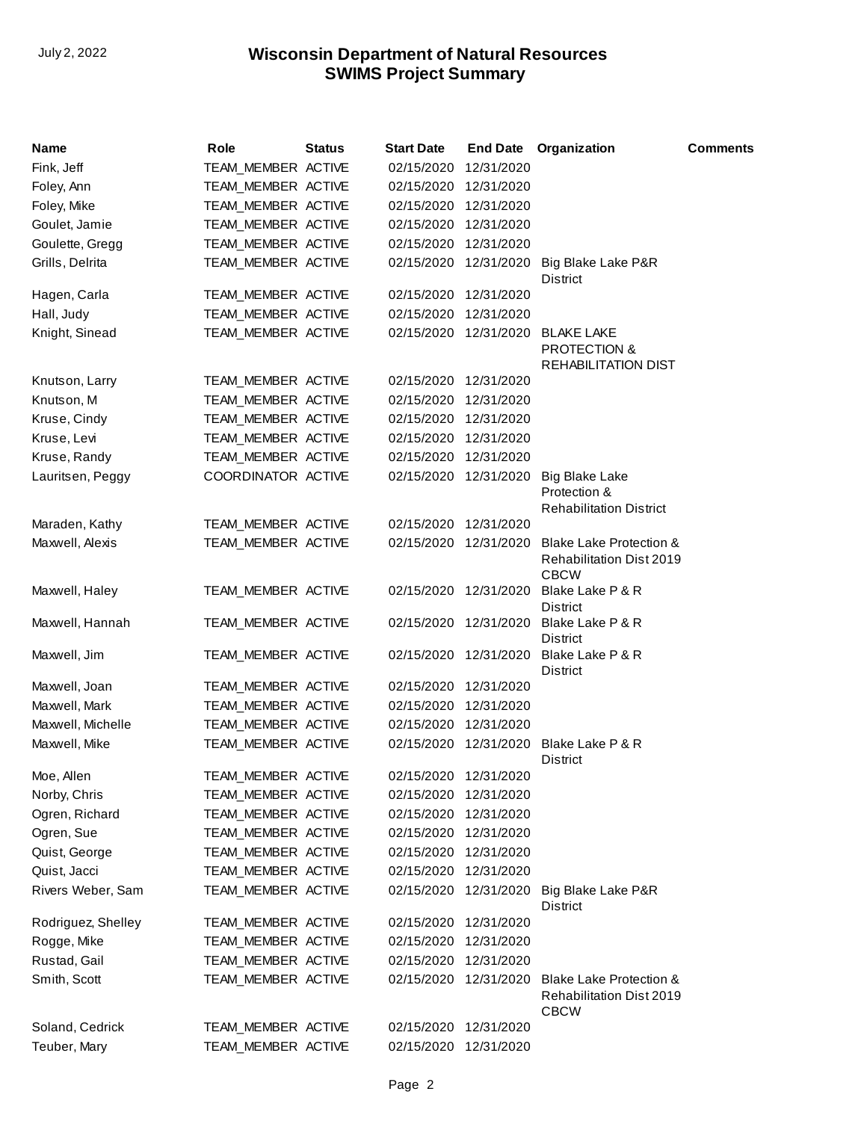| Name               | Role               | <b>Status</b> | <b>Start Date</b>     | <b>End Date</b> | Organization                                                                         | <b>Comments</b> |
|--------------------|--------------------|---------------|-----------------------|-----------------|--------------------------------------------------------------------------------------|-----------------|
| Fink, Jeff         | TEAM_MEMBER ACTIVE |               | 02/15/2020            | 12/31/2020      |                                                                                      |                 |
| Foley, Ann         | TEAM MEMBER ACTIVE |               | 02/15/2020            | 12/31/2020      |                                                                                      |                 |
| Foley, Mike        | TEAM_MEMBER ACTIVE |               | 02/15/2020            | 12/31/2020      |                                                                                      |                 |
| Goulet, Jamie      | TEAM_MEMBER ACTIVE |               | 02/15/2020            | 12/31/2020      |                                                                                      |                 |
| Goulette, Gregg    | TEAM_MEMBER ACTIVE |               | 02/15/2020            | 12/31/2020      |                                                                                      |                 |
| Grills, Delrita    | TEAM_MEMBER ACTIVE |               | 02/15/2020            | 12/31/2020      | Big Blake Lake P&R<br>District                                                       |                 |
| Hagen, Carla       | TEAM_MEMBER ACTIVE |               | 02/15/2020            | 12/31/2020      |                                                                                      |                 |
| Hall, Judy         | TEAM MEMBER ACTIVE |               | 02/15/2020            | 12/31/2020      |                                                                                      |                 |
| Knight, Sinead     | TEAM_MEMBER ACTIVE |               | 02/15/2020            | 12/31/2020      | <b>BLAKE LAKE</b><br>PROTECTION &<br>REHABILITATION DIST                             |                 |
| Knutson, Larry     | TEAM_MEMBER ACTIVE |               | 02/15/2020            | 12/31/2020      |                                                                                      |                 |
| Knutson, M         | TEAM_MEMBER ACTIVE |               | 02/15/2020            | 12/31/2020      |                                                                                      |                 |
| Kruse, Cindy       | TEAM_MEMBER ACTIVE |               | 02/15/2020            | 12/31/2020      |                                                                                      |                 |
| Kruse, Levi        | TEAM MEMBER ACTIVE |               | 02/15/2020            | 12/31/2020      |                                                                                      |                 |
| Kruse, Randy       | TEAM_MEMBER ACTIVE |               | 02/15/2020            | 12/31/2020      |                                                                                      |                 |
| Lauritsen, Peggy   | COORDINATOR ACTIVE |               | 02/15/2020            | 12/31/2020      | Big Blake Lake<br>Protection &<br><b>Rehabilitation District</b>                     |                 |
| Maraden, Kathy     | TEAM_MEMBER ACTIVE |               | 02/15/2020            | 12/31/2020      |                                                                                      |                 |
| Maxwell, Alexis    | TEAM MEMBER ACTIVE |               | 02/15/2020            | 12/31/2020      | <b>Blake Lake Protection &amp;</b><br><b>Rehabilitation Dist 2019</b><br><b>CBCW</b> |                 |
| Maxwell, Haley     | TEAM_MEMBER ACTIVE |               | 02/15/2020            | 12/31/2020      | Blake Lake P & R<br>District                                                         |                 |
| Maxwell, Hannah    | TEAM_MEMBER ACTIVE |               | 02/15/2020            | 12/31/2020      | Blake Lake P & R<br>District                                                         |                 |
| Maxwell, Jim       | TEAM_MEMBER ACTIVE |               | 02/15/2020            | 12/31/2020      | Blake Lake P & R<br>District                                                         |                 |
| Maxwell, Joan      | TEAM_MEMBER ACTIVE |               | 02/15/2020            | 12/31/2020      |                                                                                      |                 |
| Maxwell, Mark      | TEAM_MEMBER ACTIVE |               | 02/15/2020            | 12/31/2020      |                                                                                      |                 |
| Maxwell, Michelle  | TEAM_MEMBER ACTIVE |               | 02/15/2020            | 12/31/2020      |                                                                                      |                 |
| Maxwell, Mike      | TEAM_MEMBER ACTIVE |               | 02/15/2020 12/31/2020 |                 | Blake Lake P & R<br>District                                                         |                 |
| Moe, Allen         | TEAM_MEMBER ACTIVE |               | 02/15/2020            | 12/31/2020      |                                                                                      |                 |
| Norby, Chris       | TEAM_MEMBER ACTIVE |               | 02/15/2020            | 12/31/2020      |                                                                                      |                 |
| Ogren, Richard     | TEAM MEMBER ACTIVE |               | 02/15/2020            | 12/31/2020      |                                                                                      |                 |
| Ogren, Sue         | TEAM_MEMBER ACTIVE |               | 02/15/2020            | 12/31/2020      |                                                                                      |                 |
| Quist, George      | TEAM_MEMBER ACTIVE |               | 02/15/2020            | 12/31/2020      |                                                                                      |                 |
| Quist, Jacci       | TEAM MEMBER ACTIVE |               | 02/15/2020            | 12/31/2020      |                                                                                      |                 |
| Rivers Weber, Sam  | TEAM MEMBER ACTIVE |               | 02/15/2020            | 12/31/2020      | Big Blake Lake P&R<br>District                                                       |                 |
| Rodriguez, Shelley | TEAM_MEMBER ACTIVE |               | 02/15/2020            | 12/31/2020      |                                                                                      |                 |
| Rogge, Mike        | TEAM_MEMBER ACTIVE |               | 02/15/2020            | 12/31/2020      |                                                                                      |                 |
| Rustad, Gail       | TEAM_MEMBER ACTIVE |               | 02/15/2020            | 12/31/2020      |                                                                                      |                 |
| Smith, Scott       | TEAM_MEMBER ACTIVE |               | 02/15/2020            | 12/31/2020      | <b>Blake Lake Protection &amp;</b><br><b>Rehabilitation Dist 2019</b><br><b>CBCW</b> |                 |
| Soland, Cedrick    | TEAM_MEMBER ACTIVE |               | 02/15/2020            | 12/31/2020      |                                                                                      |                 |
| Teuber, Mary       | TEAM_MEMBER ACTIVE |               | 02/15/2020            | 12/31/2020      |                                                                                      |                 |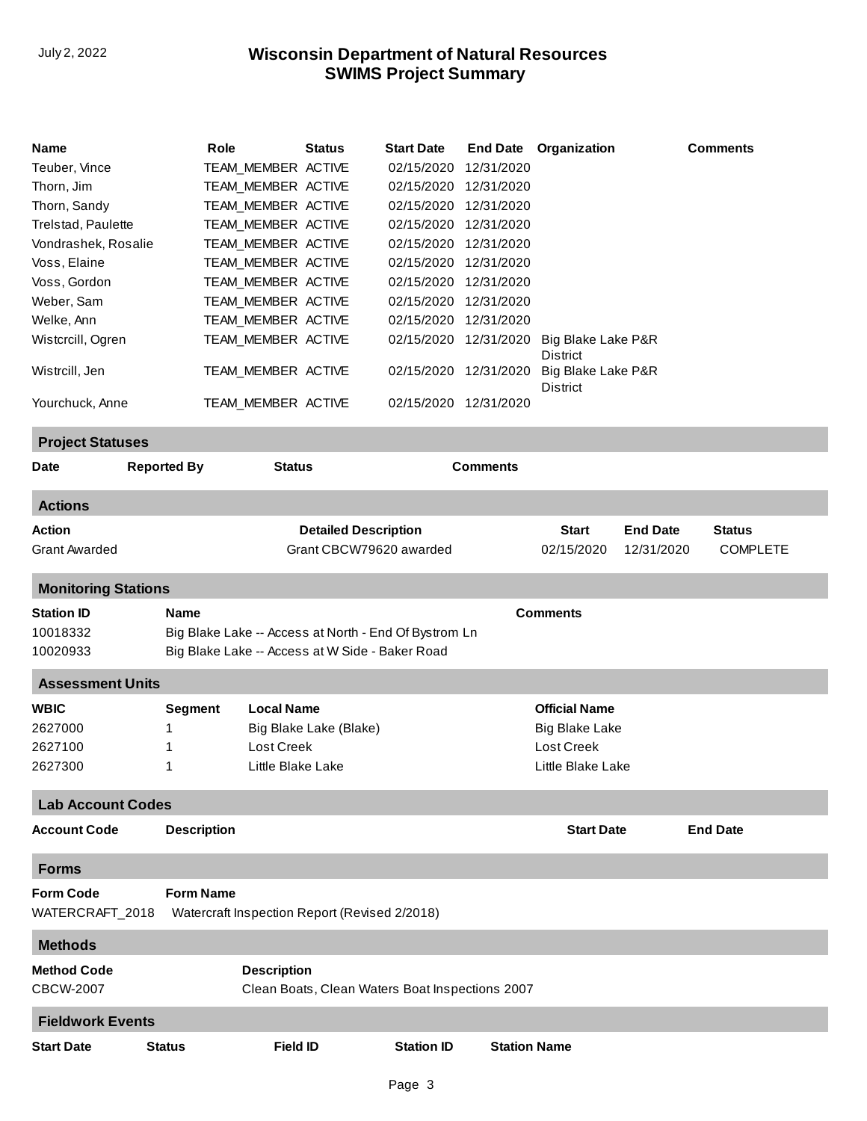| Name<br>Teuber, Vince<br>Thorn, Jim<br>Thorn, Sandy<br>Trelstad, Paulette<br>Vondrashek, Rosalie<br>Voss, Elaine<br>Voss, Gordon<br>Weber, Sam<br>Welke, Ann<br>Wistcrcill, Ogren<br>Wistrcill, Jen<br>Yourchuck, Anne | Role                                                           | TEAM_MEMBER ACTIVE<br>TEAM_MEMBER ACTIVE<br>TEAM MEMBER ACTIVE<br>TEAM_MEMBER ACTIVE<br>TEAM_MEMBER ACTIVE<br>TEAM_MEMBER ACTIVE<br>TEAM MEMBER ACTIVE<br>TEAM_MEMBER ACTIVE<br>TEAM MEMBER ACTIVE<br>TEAM_MEMBER ACTIVE<br>TEAM_MEMBER ACTIVE<br>TEAM_MEMBER ACTIVE | Status                                        | <b>Start Date</b><br>02/15/2020<br>02/15/2020<br>02/15/2020<br>02/15/2020<br>02/15/2020<br>02/15/2020<br>02/15/2020<br>02/15/2020<br>02/15/2020<br>02/15/2020<br>02/15/2020<br>02/15/2020 | <b>End Date</b><br>12/31/2020<br>12/31/2020<br>12/31/2020<br>12/31/2020<br>12/31/2020<br>12/31/2020<br>12/31/2020<br>12/31/2020<br>12/31/2020<br>12/31/2020<br>12/31/2020<br>12/31/2020 | Organization<br>Big Blake Lake P&R<br>District<br>Big Blake Lake P&R<br>District |                               | <b>Comments</b>                  |
|------------------------------------------------------------------------------------------------------------------------------------------------------------------------------------------------------------------------|----------------------------------------------------------------|----------------------------------------------------------------------------------------------------------------------------------------------------------------------------------------------------------------------------------------------------------------------|-----------------------------------------------|-------------------------------------------------------------------------------------------------------------------------------------------------------------------------------------------|-----------------------------------------------------------------------------------------------------------------------------------------------------------------------------------------|----------------------------------------------------------------------------------|-------------------------------|----------------------------------|
| <b>Project Statuses</b>                                                                                                                                                                                                |                                                                |                                                                                                                                                                                                                                                                      |                                               |                                                                                                                                                                                           |                                                                                                                                                                                         |                                                                                  |                               |                                  |
| Date                                                                                                                                                                                                                   | <b>Reported By</b>                                             | <b>Status</b>                                                                                                                                                                                                                                                        |                                               |                                                                                                                                                                                           | <b>Comments</b>                                                                                                                                                                         |                                                                                  |                               |                                  |
| <b>Actions</b>                                                                                                                                                                                                         |                                                                |                                                                                                                                                                                                                                                                      |                                               |                                                                                                                                                                                           |                                                                                                                                                                                         |                                                                                  |                               |                                  |
| <b>Action</b><br><b>Grant Awarded</b>                                                                                                                                                                                  |                                                                |                                                                                                                                                                                                                                                                      | <b>Detailed Description</b>                   | Grant CBCW79620 awarded                                                                                                                                                                   |                                                                                                                                                                                         | <b>Start</b><br>02/15/2020                                                       | <b>End Date</b><br>12/31/2020 | <b>Status</b><br><b>COMPLETE</b> |
| <b>Monitoring Stations</b>                                                                                                                                                                                             |                                                                |                                                                                                                                                                                                                                                                      |                                               |                                                                                                                                                                                           |                                                                                                                                                                                         |                                                                                  |                               |                                  |
| <b>Station ID</b><br>10018332<br>10020933                                                                                                                                                                              | <b>Name</b><br>Big Blake Lake -- Access at W Side - Baker Road |                                                                                                                                                                                                                                                                      |                                               | Big Blake Lake -- Access at North - End Of Bystrom Ln                                                                                                                                     |                                                                                                                                                                                         | <b>Comments</b>                                                                  |                               |                                  |
| <b>Assessment Units</b>                                                                                                                                                                                                |                                                                |                                                                                                                                                                                                                                                                      |                                               |                                                                                                                                                                                           |                                                                                                                                                                                         |                                                                                  |                               |                                  |
| <b>WBIC</b><br>2627000<br>2627100<br>2627300                                                                                                                                                                           | Segment<br>1<br>1                                              | <b>Local Name</b><br>Lost Creek<br>Little Blake Lake                                                                                                                                                                                                                 | Big Blake Lake (Blake)                        |                                                                                                                                                                                           |                                                                                                                                                                                         | <b>Official Name</b><br>Big Blake Lake<br>Lost Creek<br>Little Blake Lake        |                               |                                  |
| <b>Lab Account Codes</b>                                                                                                                                                                                               |                                                                |                                                                                                                                                                                                                                                                      |                                               |                                                                                                                                                                                           |                                                                                                                                                                                         |                                                                                  |                               |                                  |
| <b>Account Code</b>                                                                                                                                                                                                    | <b>Description</b>                                             |                                                                                                                                                                                                                                                                      |                                               |                                                                                                                                                                                           |                                                                                                                                                                                         | <b>Start Date</b>                                                                |                               | <b>End Date</b>                  |
| <b>Forms</b>                                                                                                                                                                                                           |                                                                |                                                                                                                                                                                                                                                                      |                                               |                                                                                                                                                                                           |                                                                                                                                                                                         |                                                                                  |                               |                                  |
| <b>Form Code</b><br>WATERCRAFT_2018                                                                                                                                                                                    | <b>Form Name</b>                                               |                                                                                                                                                                                                                                                                      | Watercraft Inspection Report (Revised 2/2018) |                                                                                                                                                                                           |                                                                                                                                                                                         |                                                                                  |                               |                                  |
| <b>Methods</b>                                                                                                                                                                                                         |                                                                |                                                                                                                                                                                                                                                                      |                                               |                                                                                                                                                                                           |                                                                                                                                                                                         |                                                                                  |                               |                                  |
| <b>Method Code</b><br><b>CBCW-2007</b>                                                                                                                                                                                 |                                                                | <b>Description</b>                                                                                                                                                                                                                                                   |                                               | Clean Boats, Clean Waters Boat Inspections 2007                                                                                                                                           |                                                                                                                                                                                         |                                                                                  |                               |                                  |
| <b>Fieldwork Events</b>                                                                                                                                                                                                |                                                                |                                                                                                                                                                                                                                                                      |                                               |                                                                                                                                                                                           |                                                                                                                                                                                         |                                                                                  |                               |                                  |
| <b>Start Date</b>                                                                                                                                                                                                      | <b>Status</b>                                                  | <b>Field ID</b>                                                                                                                                                                                                                                                      |                                               | <b>Station ID</b>                                                                                                                                                                         | <b>Station Name</b>                                                                                                                                                                     |                                                                                  |                               |                                  |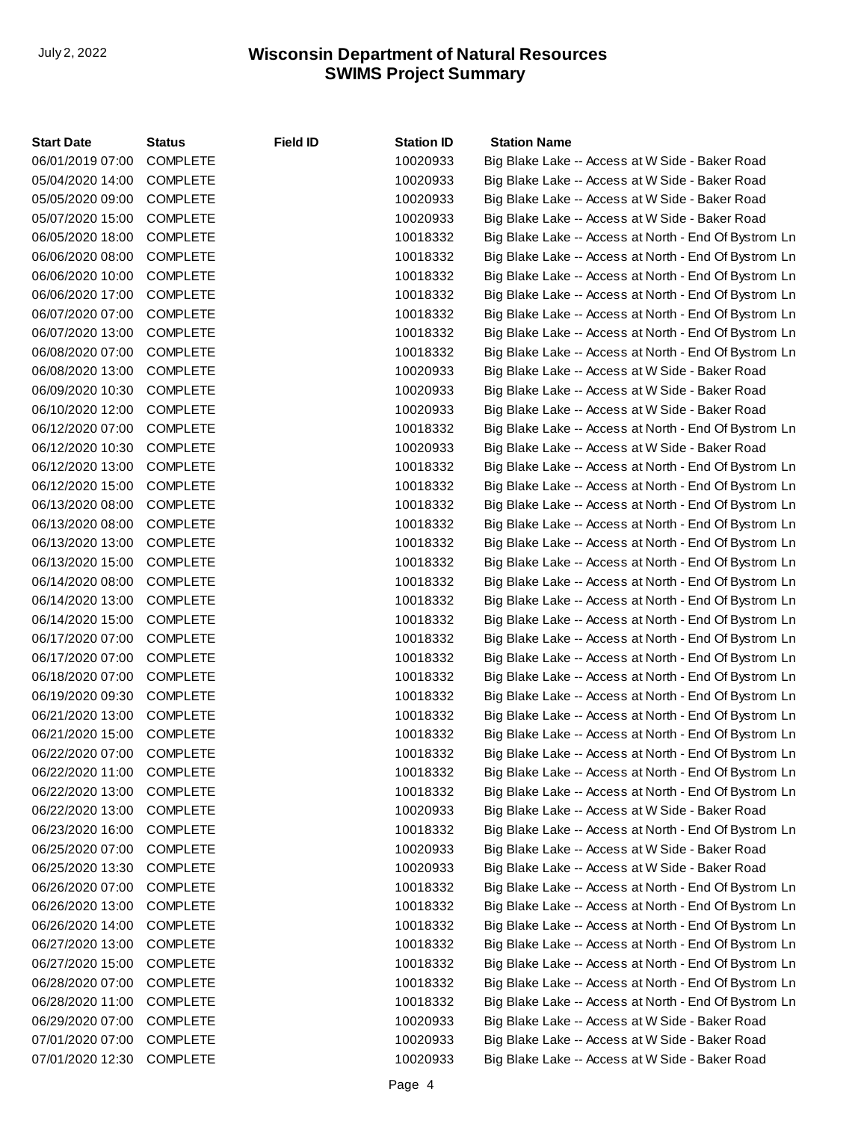| <b>Start Date</b> | <b>Status</b>   | <b>Field ID</b> | <b>Station ID</b> | <b>Station Name</b>                                   |
|-------------------|-----------------|-----------------|-------------------|-------------------------------------------------------|
| 06/01/2019 07:00  | <b>COMPLETE</b> |                 | 10020933          | Big Blake Lake -- Access at W Side - Baker Road       |
| 05/04/2020 14:00  | <b>COMPLETE</b> |                 | 10020933          | Big Blake Lake -- Access at W Side - Baker Road       |
| 05/05/2020 09:00  | <b>COMPLETE</b> |                 | 10020933          | Big Blake Lake -- Access at W Side - Baker Road       |
| 05/07/2020 15:00  | <b>COMPLETE</b> |                 | 10020933          | Big Blake Lake -- Access at W Side - Baker Road       |
| 06/05/2020 18:00  | <b>COMPLETE</b> |                 | 10018332          | Big Blake Lake -- Access at North - End Of Bystrom Ln |
| 06/06/2020 08:00  | <b>COMPLETE</b> |                 | 10018332          | Big Blake Lake -- Access at North - End Of Bystrom Ln |
| 06/06/2020 10:00  | <b>COMPLETE</b> |                 | 10018332          | Big Blake Lake -- Access at North - End Of Bystrom Ln |
| 06/06/2020 17:00  | <b>COMPLETE</b> |                 | 10018332          | Big Blake Lake -- Access at North - End Of Bystrom Ln |
| 06/07/2020 07:00  | <b>COMPLETE</b> |                 | 10018332          | Big Blake Lake -- Access at North - End Of Bystrom Ln |
| 06/07/2020 13:00  | <b>COMPLETE</b> |                 | 10018332          | Big Blake Lake -- Access at North - End Of Bystrom Ln |
| 06/08/2020 07:00  | <b>COMPLETE</b> |                 | 10018332          | Big Blake Lake -- Access at North - End Of Bystrom Ln |
| 06/08/2020 13:00  | <b>COMPLETE</b> |                 | 10020933          | Big Blake Lake -- Access at W Side - Baker Road       |
| 06/09/2020 10:30  | <b>COMPLETE</b> |                 | 10020933          | Big Blake Lake -- Access at W Side - Baker Road       |
| 06/10/2020 12:00  | <b>COMPLETE</b> |                 | 10020933          | Big Blake Lake -- Access at W Side - Baker Road       |
| 06/12/2020 07:00  | <b>COMPLETE</b> |                 | 10018332          | Big Blake Lake -- Access at North - End Of Bystrom Ln |
| 06/12/2020 10:30  | <b>COMPLETE</b> |                 | 10020933          | Big Blake Lake -- Access at W Side - Baker Road       |
| 06/12/2020 13:00  | <b>COMPLETE</b> |                 | 10018332          | Big Blake Lake -- Access at North - End Of Bystrom Ln |
| 06/12/2020 15:00  | <b>COMPLETE</b> |                 | 10018332          | Big Blake Lake -- Access at North - End Of Bystrom Ln |
| 06/13/2020 08:00  | <b>COMPLETE</b> |                 | 10018332          | Big Blake Lake -- Access at North - End Of Bystrom Ln |
| 06/13/2020 08:00  | <b>COMPLETE</b> |                 | 10018332          | Big Blake Lake -- Access at North - End Of Bystrom Ln |
| 06/13/2020 13:00  | <b>COMPLETE</b> |                 | 10018332          | Big Blake Lake -- Access at North - End Of Bystrom Ln |
| 06/13/2020 15:00  | <b>COMPLETE</b> |                 | 10018332          | Big Blake Lake -- Access at North - End Of Bystrom Ln |
| 06/14/2020 08:00  | <b>COMPLETE</b> |                 | 10018332          | Big Blake Lake -- Access at North - End Of Bystrom Ln |
| 06/14/2020 13:00  | <b>COMPLETE</b> |                 | 10018332          | Big Blake Lake -- Access at North - End Of Bystrom Ln |
| 06/14/2020 15:00  | <b>COMPLETE</b> |                 | 10018332          | Big Blake Lake -- Access at North - End Of Bystrom Ln |
| 06/17/2020 07:00  | <b>COMPLETE</b> |                 | 10018332          | Big Blake Lake -- Access at North - End Of Bystrom Ln |
| 06/17/2020 07:00  | <b>COMPLETE</b> |                 | 10018332          | Big Blake Lake -- Access at North - End Of Bystrom Ln |
| 06/18/2020 07:00  | <b>COMPLETE</b> |                 | 10018332          | Big Blake Lake -- Access at North - End Of Bystrom Ln |
| 06/19/2020 09:30  | <b>COMPLETE</b> |                 | 10018332          | Big Blake Lake -- Access at North - End Of Bystrom Ln |
| 06/21/2020 13:00  | <b>COMPLETE</b> |                 | 10018332          | Big Blake Lake -- Access at North - End Of Bystrom Ln |
| 06/21/2020 15:00  | <b>COMPLETE</b> |                 | 10018332          | Big Blake Lake -- Access at North - End Of Bystrom Ln |
| 06/22/2020 07:00  | <b>COMPLETE</b> |                 | 10018332          | Big Blake Lake -- Access at North - End Of Bystrom Ln |
| 06/22/2020 11:00  | <b>COMPLETE</b> |                 | 10018332          | Big Blake Lake -- Access at North - End Of Bystrom Ln |
| 06/22/2020 13:00  | <b>COMPLETE</b> |                 | 10018332          | Big Blake Lake -- Access at North - End Of Bystrom Ln |
| 06/22/2020 13:00  | <b>COMPLETE</b> |                 | 10020933          | Big Blake Lake -- Access at W Side - Baker Road       |
| 06/23/2020 16:00  | <b>COMPLETE</b> |                 | 10018332          | Big Blake Lake -- Access at North - End Of Bystrom Ln |
| 06/25/2020 07:00  | <b>COMPLETE</b> |                 | 10020933          | Big Blake Lake -- Access at W Side - Baker Road       |
| 06/25/2020 13:30  | <b>COMPLETE</b> |                 | 10020933          | Big Blake Lake -- Access at W Side - Baker Road       |
| 06/26/2020 07:00  | <b>COMPLETE</b> |                 | 10018332          | Big Blake Lake -- Access at North - End Of Bystrom Ln |
| 06/26/2020 13:00  | <b>COMPLETE</b> |                 | 10018332          | Big Blake Lake -- Access at North - End Of Bystrom Ln |
| 06/26/2020 14:00  | <b>COMPLETE</b> |                 | 10018332          | Big Blake Lake -- Access at North - End Of Bystrom Ln |
| 06/27/2020 13:00  | <b>COMPLETE</b> |                 | 10018332          | Big Blake Lake -- Access at North - End Of Bystrom Ln |
| 06/27/2020 15:00  | <b>COMPLETE</b> |                 | 10018332          | Big Blake Lake -- Access at North - End Of Bystrom Ln |
| 06/28/2020 07:00  | <b>COMPLETE</b> |                 | 10018332          | Big Blake Lake -- Access at North - End Of Bystrom Ln |
| 06/28/2020 11:00  | <b>COMPLETE</b> |                 | 10018332          | Big Blake Lake -- Access at North - End Of Bystrom Ln |
| 06/29/2020 07:00  | <b>COMPLETE</b> |                 | 10020933          | Big Blake Lake -- Access at W Side - Baker Road       |
| 07/01/2020 07:00  | <b>COMPLETE</b> |                 | 10020933          | Big Blake Lake -- Access at W Side - Baker Road       |
| 07/01/2020 12:30  | <b>COMPLETE</b> |                 | 10020933          | Big Blake Lake -- Access at W Side - Baker Road       |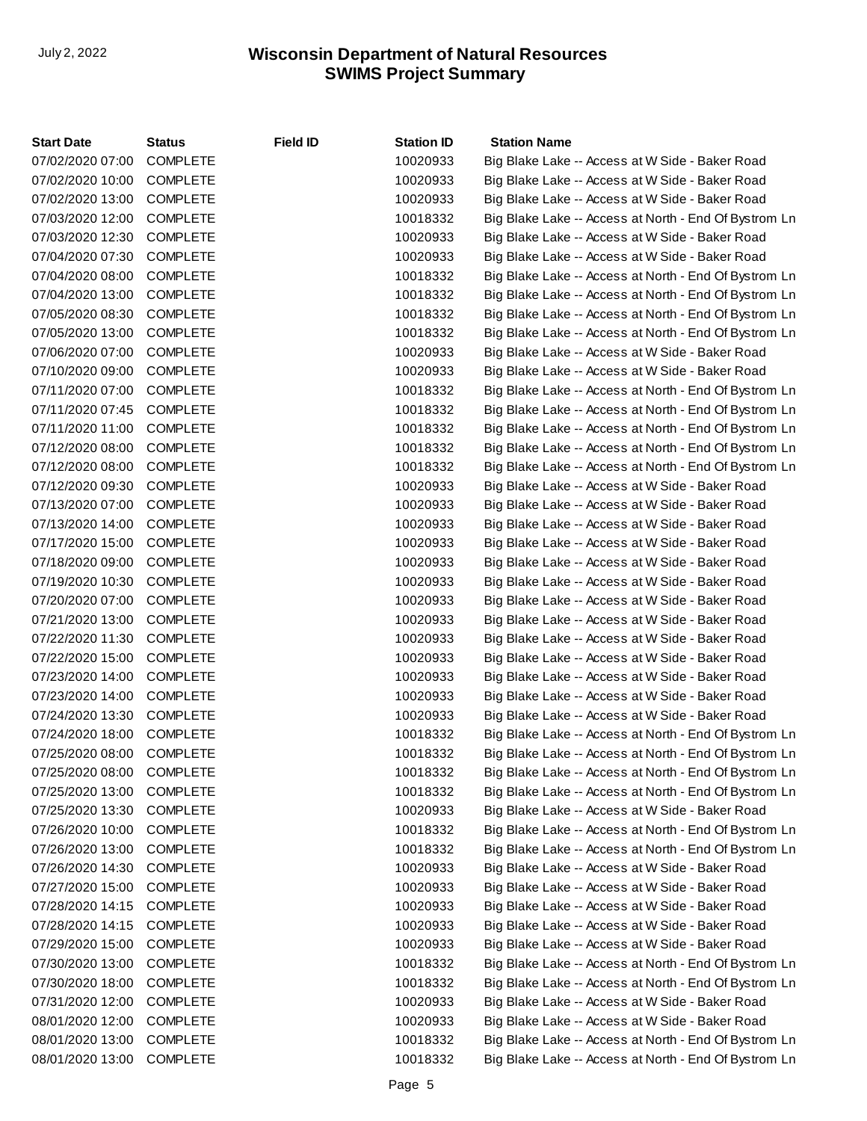| <b>Start Date</b> | <b>Status</b>   | <b>Field ID</b> | <b>Station ID</b> | <b>Station Name</b>                                   |
|-------------------|-----------------|-----------------|-------------------|-------------------------------------------------------|
| 07/02/2020 07:00  | <b>COMPLETE</b> |                 | 10020933          | Big Blake Lake -- Access at W Side - Baker Road       |
| 07/02/2020 10:00  | <b>COMPLETE</b> |                 | 10020933          | Big Blake Lake -- Access at W Side - Baker Road       |
| 07/02/2020 13:00  | <b>COMPLETE</b> |                 | 10020933          | Big Blake Lake -- Access at W Side - Baker Road       |
| 07/03/2020 12:00  | <b>COMPLETE</b> |                 | 10018332          | Big Blake Lake -- Access at North - End Of Bystrom Ln |
| 07/03/2020 12:30  | <b>COMPLETE</b> |                 | 10020933          | Big Blake Lake -- Access at W Side - Baker Road       |
| 07/04/2020 07:30  | <b>COMPLETE</b> |                 | 10020933          | Big Blake Lake -- Access at W Side - Baker Road       |
| 07/04/2020 08:00  | <b>COMPLETE</b> |                 | 10018332          | Big Blake Lake -- Access at North - End Of Bystrom Ln |
| 07/04/2020 13:00  | <b>COMPLETE</b> |                 | 10018332          | Big Blake Lake -- Access at North - End Of Bystrom Ln |
| 07/05/2020 08:30  | <b>COMPLETE</b> |                 | 10018332          | Big Blake Lake -- Access at North - End Of Bystrom Ln |
| 07/05/2020 13:00  | <b>COMPLETE</b> |                 | 10018332          | Big Blake Lake -- Access at North - End Of Bystrom Ln |
| 07/06/2020 07:00  | <b>COMPLETE</b> |                 | 10020933          | Big Blake Lake -- Access at W Side - Baker Road       |
| 07/10/2020 09:00  | <b>COMPLETE</b> |                 | 10020933          | Big Blake Lake -- Access at W Side - Baker Road       |
| 07/11/2020 07:00  | <b>COMPLETE</b> |                 | 10018332          | Big Blake Lake -- Access at North - End Of Bystrom Ln |
| 07/11/2020 07:45  | <b>COMPLETE</b> |                 | 10018332          | Big Blake Lake -- Access at North - End Of Bystrom Ln |
| 07/11/2020 11:00  | <b>COMPLETE</b> |                 | 10018332          | Big Blake Lake -- Access at North - End Of Bystrom Ln |
| 07/12/2020 08:00  | <b>COMPLETE</b> |                 | 10018332          | Big Blake Lake -- Access at North - End Of Bystrom Ln |
| 07/12/2020 08:00  | <b>COMPLETE</b> |                 | 10018332          | Big Blake Lake -- Access at North - End Of Bystrom Ln |
| 07/12/2020 09:30  | <b>COMPLETE</b> |                 | 10020933          | Big Blake Lake -- Access at W Side - Baker Road       |
| 07/13/2020 07:00  | <b>COMPLETE</b> |                 | 10020933          | Big Blake Lake -- Access at W Side - Baker Road       |
| 07/13/2020 14:00  | <b>COMPLETE</b> |                 | 10020933          | Big Blake Lake -- Access at W Side - Baker Road       |
| 07/17/2020 15:00  | <b>COMPLETE</b> |                 | 10020933          | Big Blake Lake -- Access at W Side - Baker Road       |
| 07/18/2020 09:00  | <b>COMPLETE</b> |                 | 10020933          | Big Blake Lake -- Access at W Side - Baker Road       |
| 07/19/2020 10:30  | <b>COMPLETE</b> |                 | 10020933          | Big Blake Lake -- Access at W Side - Baker Road       |
| 07/20/2020 07:00  | <b>COMPLETE</b> |                 | 10020933          | Big Blake Lake -- Access at W Side - Baker Road       |
| 07/21/2020 13:00  | <b>COMPLETE</b> |                 | 10020933          | Big Blake Lake -- Access at W Side - Baker Road       |
| 07/22/2020 11:30  | <b>COMPLETE</b> |                 | 10020933          | Big Blake Lake -- Access at W Side - Baker Road       |
| 07/22/2020 15:00  | <b>COMPLETE</b> |                 | 10020933          | Big Blake Lake -- Access at W Side - Baker Road       |
| 07/23/2020 14:00  | <b>COMPLETE</b> |                 | 10020933          | Big Blake Lake -- Access at W Side - Baker Road       |
| 07/23/2020 14:00  | <b>COMPLETE</b> |                 | 10020933          | Big Blake Lake -- Access at W Side - Baker Road       |
| 07/24/2020 13:30  | <b>COMPLETE</b> |                 | 10020933          | Big Blake Lake -- Access at W Side - Baker Road       |
| 07/24/2020 18:00  | <b>COMPLETE</b> |                 | 10018332          | Big Blake Lake -- Access at North - End Of Bystrom Ln |
| 07/25/2020 08:00  | <b>COMPLETE</b> |                 | 10018332          | Big Blake Lake -- Access at North - End Of Bystrom Ln |
| 07/25/2020 08:00  | COMPLETE        |                 | 10018332          | Big Blake Lake -- Access at North - End Of Bystrom Ln |
| 07/25/2020 13:00  | <b>COMPLETE</b> |                 | 10018332          | Big Blake Lake -- Access at North - End Of Bystrom Ln |
| 07/25/2020 13:30  | <b>COMPLETE</b> |                 | 10020933          | Big Blake Lake -- Access at W Side - Baker Road       |
| 07/26/2020 10:00  | <b>COMPLETE</b> |                 | 10018332          | Big Blake Lake -- Access at North - End Of Bystrom Ln |
| 07/26/2020 13:00  | <b>COMPLETE</b> |                 | 10018332          | Big Blake Lake -- Access at North - End Of Bystrom Ln |
| 07/26/2020 14:30  | <b>COMPLETE</b> |                 | 10020933          | Big Blake Lake -- Access at W Side - Baker Road       |
| 07/27/2020 15:00  | <b>COMPLETE</b> |                 | 10020933          | Big Blake Lake -- Access at W Side - Baker Road       |
| 07/28/2020 14:15  | <b>COMPLETE</b> |                 | 10020933          | Big Blake Lake -- Access at W Side - Baker Road       |
| 07/28/2020 14:15  | <b>COMPLETE</b> |                 | 10020933          | Big Blake Lake -- Access at W Side - Baker Road       |
| 07/29/2020 15:00  | <b>COMPLETE</b> |                 | 10020933          | Big Blake Lake -- Access at W Side - Baker Road       |
| 07/30/2020 13:00  | <b>COMPLETE</b> |                 | 10018332          | Big Blake Lake -- Access at North - End Of Bystrom Ln |
| 07/30/2020 18:00  | <b>COMPLETE</b> |                 | 10018332          | Big Blake Lake -- Access at North - End Of Bystrom Ln |
| 07/31/2020 12:00  | <b>COMPLETE</b> |                 | 10020933          | Big Blake Lake -- Access at W Side - Baker Road       |
| 08/01/2020 12:00  | <b>COMPLETE</b> |                 | 10020933          | Big Blake Lake -- Access at W Side - Baker Road       |
| 08/01/2020 13:00  | <b>COMPLETE</b> |                 | 10018332          | Big Blake Lake -- Access at North - End Of Bystrom Ln |
| 08/01/2020 13:00  | <b>COMPLETE</b> |                 | 10018332          | Big Blake Lake -- Access at North - End Of Bystrom Ln |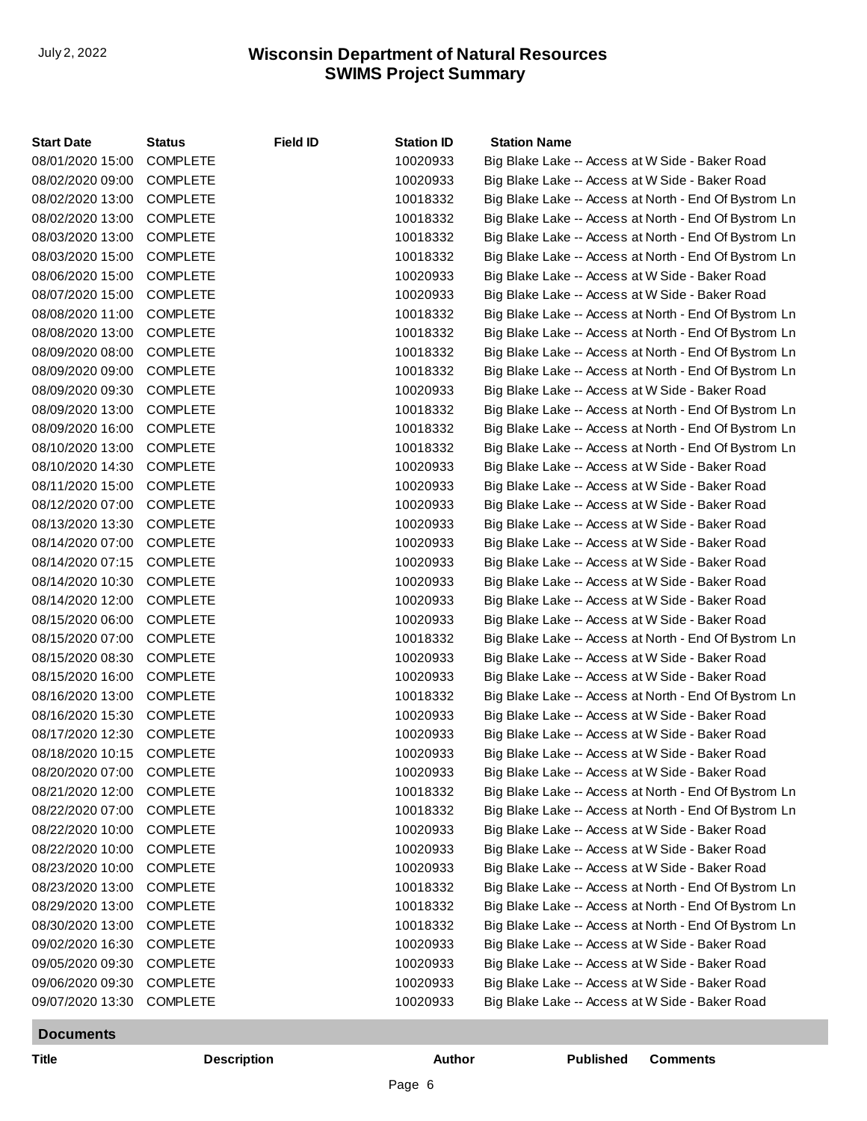| <b>Start Date</b> | <b>Status</b>   | <b>Field ID</b> | <b>Station ID</b> | <b>Station Name</b>                                   |
|-------------------|-----------------|-----------------|-------------------|-------------------------------------------------------|
| 08/01/2020 15:00  | <b>COMPLETE</b> |                 | 10020933          | Big Blake Lake -- Access at W Side - Baker Road       |
| 08/02/2020 09:00  | <b>COMPLETE</b> |                 | 10020933          | Big Blake Lake -- Access at W Side - Baker Road       |
| 08/02/2020 13:00  | <b>COMPLETE</b> |                 | 10018332          | Big Blake Lake -- Access at North - End Of Bystrom Ln |
| 08/02/2020 13:00  | <b>COMPLETE</b> |                 | 10018332          | Big Blake Lake -- Access at North - End Of Bystrom Ln |
| 08/03/2020 13:00  | <b>COMPLETE</b> |                 | 10018332          | Big Blake Lake -- Access at North - End Of Bystrom Ln |
| 08/03/2020 15:00  | <b>COMPLETE</b> |                 | 10018332          | Big Blake Lake -- Access at North - End Of Bystrom Ln |
| 08/06/2020 15:00  | <b>COMPLETE</b> |                 | 10020933          | Big Blake Lake -- Access at W Side - Baker Road       |
| 08/07/2020 15:00  | <b>COMPLETE</b> |                 | 10020933          | Big Blake Lake -- Access at W Side - Baker Road       |
| 08/08/2020 11:00  | <b>COMPLETE</b> |                 | 10018332          | Big Blake Lake -- Access at North - End Of Bystrom Ln |
| 08/08/2020 13:00  | <b>COMPLETE</b> |                 | 10018332          | Big Blake Lake -- Access at North - End Of Bystrom Ln |
| 08/09/2020 08:00  | <b>COMPLETE</b> |                 | 10018332          | Big Blake Lake -- Access at North - End Of Bystrom Ln |
| 08/09/2020 09:00  | <b>COMPLETE</b> |                 | 10018332          | Big Blake Lake -- Access at North - End Of Bystrom Ln |
| 08/09/2020 09:30  | <b>COMPLETE</b> |                 | 10020933          | Big Blake Lake -- Access at W Side - Baker Road       |
| 08/09/2020 13:00  | <b>COMPLETE</b> |                 | 10018332          | Big Blake Lake -- Access at North - End Of Bystrom Ln |
| 08/09/2020 16:00  | <b>COMPLETE</b> |                 | 10018332          | Big Blake Lake -- Access at North - End Of Bystrom Ln |
| 08/10/2020 13:00  | <b>COMPLETE</b> |                 | 10018332          | Big Blake Lake -- Access at North - End Of Bystrom Ln |
| 08/10/2020 14:30  | <b>COMPLETE</b> |                 | 10020933          | Big Blake Lake -- Access at W Side - Baker Road       |
| 08/11/2020 15:00  | <b>COMPLETE</b> |                 | 10020933          | Big Blake Lake -- Access at W Side - Baker Road       |
| 08/12/2020 07:00  | <b>COMPLETE</b> |                 | 10020933          | Big Blake Lake -- Access at W Side - Baker Road       |
| 08/13/2020 13:30  | <b>COMPLETE</b> |                 | 10020933          | Big Blake Lake -- Access at W Side - Baker Road       |
| 08/14/2020 07:00  | <b>COMPLETE</b> |                 | 10020933          | Big Blake Lake -- Access at W Side - Baker Road       |
| 08/14/2020 07:15  | <b>COMPLETE</b> |                 | 10020933          | Big Blake Lake -- Access at W Side - Baker Road       |
| 08/14/2020 10:30  | <b>COMPLETE</b> |                 | 10020933          | Big Blake Lake -- Access at W Side - Baker Road       |
| 08/14/2020 12:00  | <b>COMPLETE</b> |                 | 10020933          | Big Blake Lake -- Access at W Side - Baker Road       |
| 08/15/2020 06:00  | <b>COMPLETE</b> |                 | 10020933          | Big Blake Lake -- Access at W Side - Baker Road       |
| 08/15/2020 07:00  | <b>COMPLETE</b> |                 | 10018332          | Big Blake Lake -- Access at North - End Of Bystrom Ln |
| 08/15/2020 08:30  | <b>COMPLETE</b> |                 | 10020933          | Big Blake Lake -- Access at W Side - Baker Road       |
| 08/15/2020 16:00  | <b>COMPLETE</b> |                 | 10020933          | Big Blake Lake -- Access at W Side - Baker Road       |
| 08/16/2020 13:00  | <b>COMPLETE</b> |                 | 10018332          | Big Blake Lake -- Access at North - End Of Bystrom Ln |
| 08/16/2020 15:30  | <b>COMPLETE</b> |                 | 10020933          | Big Blake Lake -- Access at W Side - Baker Road       |
| 08/17/2020 12:30  | <b>COMPLETE</b> |                 | 10020933          | Big Blake Lake -- Access at W Side - Baker Road       |
| 08/18/2020 10:15  | <b>COMPLETE</b> |                 | 10020933          | Big Blake Lake -- Access at W Side - Baker Road       |
| 08/20/2020 07:00  | <b>COMPLETE</b> |                 | 10020933          | Big Blake Lake -- Access at W Side - Baker Road       |
| 08/21/2020 12:00  | <b>COMPLETE</b> |                 | 10018332          | Big Blake Lake -- Access at North - End Of Bystrom Ln |
| 08/22/2020 07:00  | <b>COMPLETE</b> |                 | 10018332          | Big Blake Lake -- Access at North - End Of Bystrom Ln |
| 08/22/2020 10:00  | <b>COMPLETE</b> |                 | 10020933          | Big Blake Lake -- Access at W Side - Baker Road       |
| 08/22/2020 10:00  | <b>COMPLETE</b> |                 | 10020933          | Big Blake Lake -- Access at W Side - Baker Road       |
| 08/23/2020 10:00  | <b>COMPLETE</b> |                 | 10020933          | Big Blake Lake -- Access at W Side - Baker Road       |
| 08/23/2020 13:00  | <b>COMPLETE</b> |                 | 10018332          | Big Blake Lake -- Access at North - End Of Bystrom Ln |
| 08/29/2020 13:00  | <b>COMPLETE</b> |                 | 10018332          | Big Blake Lake -- Access at North - End Of Bystrom Ln |
| 08/30/2020 13:00  | <b>COMPLETE</b> |                 | 10018332          | Big Blake Lake -- Access at North - End Of Bystrom Ln |
| 09/02/2020 16:30  | <b>COMPLETE</b> |                 | 10020933          | Big Blake Lake -- Access at W Side - Baker Road       |
| 09/05/2020 09:30  | <b>COMPLETE</b> |                 | 10020933          | Big Blake Lake -- Access at W Side - Baker Road       |
| 09/06/2020 09:30  | <b>COMPLETE</b> |                 | 10020933          | Big Blake Lake -- Access at W Side - Baker Road       |
| 09/07/2020 13:30  | <b>COMPLETE</b> |                 | 10020933          | Big Blake Lake -- Access at W Side - Baker Road       |

# **Documents**